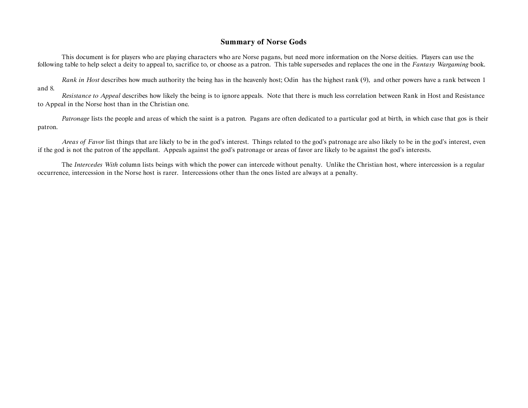## **Summary of Norse Gods**

This document is for players who are playing characters who are Norse pagans, but need more information on the Norse deities. Players can use the following table to help select a deity to appeal to, sacrifice to, or choose as a patron. This table supersedes and replaces the one in the *Fantasy Wargaming* book.

*Rank in Host* describes how much authority the being has in the heavenly host; Odin has the highest rank (9), and other powers have a rank between 1 and 8.

*Resistance to Appeal* describes how likely the being is to ignore appeals. Note that there is much less correlation between Rank in Host and Resistance to Appeal in the Norse host than in the Christian one.

*Patronage* lists the people and areas of which the saint is a patron. Pagans are often dedicated to a particular god at birth, in which case that gos is their patron.

*Areas of Favor* list things that are likely to be in the god's interest. Things related to the god's patronage are also likely to be in the god's interest, even if the god is not the patron of the appellant. Appeals against the god's patronage or areas of favor are likely to be against the god's interests.

The *Intercedes With* column lists beings with which the power can intercede without penalty. Unlike the Christian host, where intercession is a regular occurrence, intercession in the Norse host is rarer. Intercessions other than the ones listed are always at a penalty.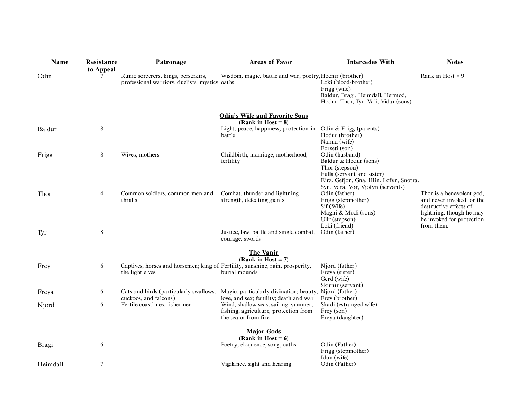| <b>Name</b> | <b>Resistance</b><br>to Appeal | <b>Patronage</b>                                                                                 | <b>Areas of Favor</b>                                                                                 | <b>Intercedes With</b>                                                                                                                           | <b>Notes</b>                                                                                                                                            |
|-------------|--------------------------------|--------------------------------------------------------------------------------------------------|-------------------------------------------------------------------------------------------------------|--------------------------------------------------------------------------------------------------------------------------------------------------|---------------------------------------------------------------------------------------------------------------------------------------------------------|
| Odin        |                                | Runic sorcerers, kings, berserkirs,<br>professional warriors, duelists, mystics oaths            | Wisdom, magic, battle and war, poetry, Hoenir (brother)                                               | Loki (blood-brother)<br>Frigg (wife)<br>Baldur, Bragi, Heimdall, Hermod,<br>Hodur, Thor, Tyr, Vali, Vidar (sons)                                 | Rank in Host = $9$                                                                                                                                      |
|             |                                |                                                                                                  | <b>Odin's Wife and Favorite Sons</b><br>(Rank in Host = $8$ )                                         |                                                                                                                                                  |                                                                                                                                                         |
| Baldur      | $\,8\,$                        |                                                                                                  | Light, peace, happiness, protection in<br>battle                                                      | Odin & Frigg (parents)<br>Hodur (brother)<br>Nanna (wife)<br>Forseti (son)                                                                       |                                                                                                                                                         |
| Frigg       | 8                              | Wives, mothers                                                                                   | Childbirth, marriage, motherhood,<br>fertility                                                        | Odin (husband)<br>Baldur & Hodur (sons)<br>Thor (stepson)<br>Fulla (servant and sister)<br>Eira, Gefjon, Gna, Hlin, Lofyn, Snotra,               |                                                                                                                                                         |
| Thor        | 4                              | Common soldiers, common men and<br>thralls                                                       | Combat, thunder and lightning,<br>strength, defeating giants                                          | Syn, Vara, Vor, Vjofyn (servants)<br>Odin (father)<br>Frigg (stepmother)<br>Sif (Wife)<br>Magni & Modi (sons)<br>Ullr (stepson)<br>Loki (friend) | Thor is a benevolent god,<br>and never invoked for the<br>destructive effects of<br>lightning, though he may<br>be invoked for protection<br>from them. |
| Tyr         | $\,8\,$                        |                                                                                                  | Justice, law, battle and single combat,<br>courage, swords                                            | Odin (father)                                                                                                                                    |                                                                                                                                                         |
|             |                                |                                                                                                  | <b>The Vanir</b><br>$(Rank in Host = 7)$                                                              |                                                                                                                                                  |                                                                                                                                                         |
| Frey        | 6                              | Captives, horses and horsemen; king of Fertility, sunshine, rain, prosperity,<br>the light elves | burial mounds                                                                                         | Njord (father)<br>Freya (sister)<br>Gerd (wife)                                                                                                  |                                                                                                                                                         |
| Freya       | 6                              | Cats and birds (particularly swallows,                                                           | Magic, particularly divination; beauty,<br>love, and sex; fertility; death and war                    | Skirnir (servant)<br>Njord (father)<br>Frey (brother)                                                                                            |                                                                                                                                                         |
| Njord       | 6                              | cuckoos, and falcons)<br>Fertile coastlines, fishermen                                           | Wind, shallow seas, sailing, summer,<br>fishing, agriculture, protection from<br>the sea or from fire | Skadi (estranged wife)<br>Frey (son)<br>Freya (daughter)                                                                                         |                                                                                                                                                         |
|             |                                |                                                                                                  | <b>Major Gods</b><br>(Rank in Host = $6$ )                                                            |                                                                                                                                                  |                                                                                                                                                         |
| Bragi       | 6                              |                                                                                                  | Poetry, eloquence, song, oaths                                                                        | Odin (Father)<br>Frigg (stepmother)<br>Idun (wife)                                                                                               |                                                                                                                                                         |
| Heimdall    | $\overline{7}$                 |                                                                                                  | Vigilance, sight and hearing                                                                          | Odin (Father)                                                                                                                                    |                                                                                                                                                         |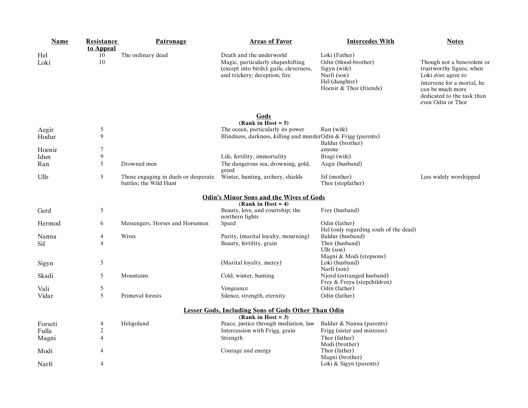| <b>Name</b> | Resistance       | Patronage                                                      | <b>Areas of Favor</b>                                                                                                                     | <b>Intercedes With</b>                                                                                            | <b>Notes</b>                                                                                                                                                                      |
|-------------|------------------|----------------------------------------------------------------|-------------------------------------------------------------------------------------------------------------------------------------------|-------------------------------------------------------------------------------------------------------------------|-----------------------------------------------------------------------------------------------------------------------------------------------------------------------------------|
|             | to Appeal        |                                                                |                                                                                                                                           |                                                                                                                   |                                                                                                                                                                                   |
| Hel<br>Loki | 10<br>10         | The ordinary dead                                              | Death and the underworld<br>Magic, particularly shapeshifting<br>(except into birds); guile, cleverness,<br>and trickery; deception; fire | Loki (Father)<br>Odin (blood-brother)<br>Sigyn (wife)<br>Narfi (son)<br>Hel (daughter)<br>Hoenir & Thor (friends) | Though not a benevolent or<br>trustworthy figure, when<br>Loki does agree to<br>intervene for a mortal, he<br>can be much more<br>dedicated to the task than<br>even Odin or Thor |
|             |                  |                                                                | Gods                                                                                                                                      |                                                                                                                   |                                                                                                                                                                                   |
|             |                  |                                                                | (Rank in Host = $5$ )                                                                                                                     |                                                                                                                   |                                                                                                                                                                                   |
| Aegir       | 5                |                                                                | The ocean, particularly its power                                                                                                         | Ran (wife)                                                                                                        |                                                                                                                                                                                   |
| Hodur       | 9                |                                                                | Blindness, darkness, killing and murderOdin & Frigg (parents)                                                                             | Baldur (brother)                                                                                                  |                                                                                                                                                                                   |
| Hoenir      | 7                |                                                                |                                                                                                                                           | anyone                                                                                                            |                                                                                                                                                                                   |
| Idun        | 9                |                                                                | Life, fertility, immortality                                                                                                              | Bragi (wife)                                                                                                      |                                                                                                                                                                                   |
| Ran         | 5                | Drowned men                                                    | The dangerous sea, drowning, gold,                                                                                                        | Aegir (husband)                                                                                                   |                                                                                                                                                                                   |
|             |                  |                                                                | greed                                                                                                                                     |                                                                                                                   |                                                                                                                                                                                   |
| Ullr        | 5                | Those engaging in duels or desperate<br>battles; the Wild Hunt | Winter, hunting, archery, shields                                                                                                         | Sif (mother)<br>Thor (stepfather)                                                                                 | Less widely worshipped                                                                                                                                                            |
|             |                  |                                                                | <b>Odin's Minor Sons and the Wives of Gods</b>                                                                                            |                                                                                                                   |                                                                                                                                                                                   |
|             |                  |                                                                | (Rank in Host = 4)                                                                                                                        |                                                                                                                   |                                                                                                                                                                                   |
| Gerd        | $\sqrt{5}$       |                                                                | Beauty, love, and courtship; the<br>northern lights                                                                                       | Frey (husband)                                                                                                    |                                                                                                                                                                                   |
| Hermod      | 6                | Messengers, Horses and Horsemen                                | Speed                                                                                                                                     | Odin (father)                                                                                                     |                                                                                                                                                                                   |
|             |                  |                                                                |                                                                                                                                           | Hel (only regarding souls of the dead)                                                                            |                                                                                                                                                                                   |
| Nanna       | 4                | Wives                                                          | Purity, (marital loyalty, mourning)                                                                                                       | Baldur (husband)                                                                                                  |                                                                                                                                                                                   |
| Sif         | 4                |                                                                | Beauty, fertility, grain                                                                                                                  | Thor (husband)<br>Ullr $(son)$                                                                                    |                                                                                                                                                                                   |
|             |                  |                                                                |                                                                                                                                           | Magni & Modi (stepsons)                                                                                           |                                                                                                                                                                                   |
| Sigyn       | 5                |                                                                | (Marital loyalty, mercy)                                                                                                                  | Loki (husband)                                                                                                    |                                                                                                                                                                                   |
|             |                  |                                                                |                                                                                                                                           | Narfi (son)                                                                                                       |                                                                                                                                                                                   |
| Skadi       | 5                | Mountains                                                      | Cold, winter, hunting                                                                                                                     | Njord (estranged husband)                                                                                         |                                                                                                                                                                                   |
|             |                  |                                                                |                                                                                                                                           | Frey & Freya (stepchildren)                                                                                       |                                                                                                                                                                                   |
| Vali        | 5                |                                                                | Vengeance                                                                                                                                 | Odin (father)                                                                                                     |                                                                                                                                                                                   |
| Vidar       | 5                | Primeval forests                                               | Silence, strength, eternity                                                                                                               | Odin (father)                                                                                                     |                                                                                                                                                                                   |
|             |                  |                                                                | <b>Lesser Gods, Including Sons of Gods Other Than Odin</b>                                                                                |                                                                                                                   |                                                                                                                                                                                   |
|             |                  |                                                                | (Rank in Host = $3$ )                                                                                                                     |                                                                                                                   |                                                                                                                                                                                   |
| Forseti     | 4                | Heligoland                                                     | Peace, justice through mediation, law                                                                                                     | Baldur & Nanna (parents)                                                                                          |                                                                                                                                                                                   |
| Fulla       | $\boldsymbol{2}$ |                                                                | Intercession with Frigg, grain                                                                                                            | Frigg (sister and mistress)                                                                                       |                                                                                                                                                                                   |
| Magni       | 4                |                                                                | Strength                                                                                                                                  | Thor (father)<br>Modi (brother)                                                                                   |                                                                                                                                                                                   |
| Modi        | 4                |                                                                | Courage and energy                                                                                                                        | Thor (father)                                                                                                     |                                                                                                                                                                                   |
|             |                  |                                                                |                                                                                                                                           | Magni (brother)                                                                                                   |                                                                                                                                                                                   |
| Narfi       | 4                |                                                                |                                                                                                                                           | Loki & Sigyn (parents)                                                                                            |                                                                                                                                                                                   |